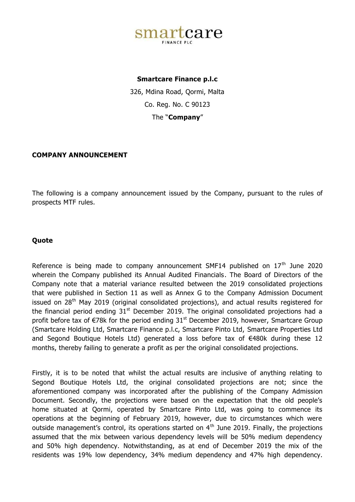

## **Smartcare Finance p.l.c**

326, Mdina Road, Qormi, Malta Co. Reg. No. C 90123 The "**Company**"

## **COMPANY ANNOUNCEMENT**

The following is a company announcement issued by the Company, pursuant to the rules of prospects MTF rules.

## **Quote**

Reference is being made to company announcement SMF14 published on  $17<sup>th</sup>$  June 2020 wherein the Company published its Annual Audited Financials. The Board of Directors of the Company note that a material variance resulted between the 2019 consolidated projections that were published in Section 11 as well as Annex G to the Company Admission Document issued on  $28<sup>th</sup>$  May 2019 (original consolidated projections), and actual results registered for the financial period ending  $31<sup>st</sup>$  December 2019. The original consolidated projections had a profit before tax of  $\epsilon$ 78k for the period ending 31<sup>st</sup> December 2019, however, Smartcare Group (Smartcare Holding Ltd, Smartcare Finance p.l.c, Smartcare Pinto Ltd, Smartcare Properties Ltd and Segond Boutique Hotels Ltd) generated a loss before tax of €480k during these 12 months, thereby failing to generate a profit as per the original consolidated projections.

Firstly, it is to be noted that whilst the actual results are inclusive of anything relating to Segond Boutique Hotels Ltd, the original consolidated projections are not; since the aforementioned company was incorporated after the publishing of the Company Admission Document. Secondly, the projections were based on the expectation that the old people's home situated at Qormi, operated by Smartcare Pinto Ltd, was going to commence its operations at the beginning of February 2019, however, due to circumstances which were outside management's control, its operations started on  $4<sup>th</sup>$  June 2019. Finally, the projections assumed that the mix between various dependency levels will be 50% medium dependency and 50% high dependency. Notwithstanding, as at end of December 2019 the mix of the residents was 19% low dependency, 34% medium dependency and 47% high dependency.